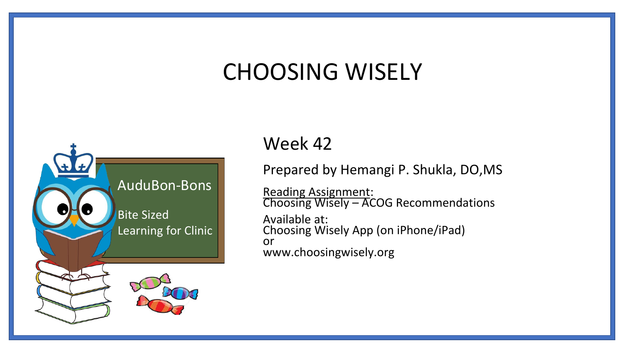### CHOOSING WISELY



#### Week 42

Prepared by Hemangi P. Shukla, DO,MS

Reading Assignment: Choosing Wisely – ACOG Recommendations Available at: Choosing Wisely App (on iPhone/iPad) or www.choosingwisely.org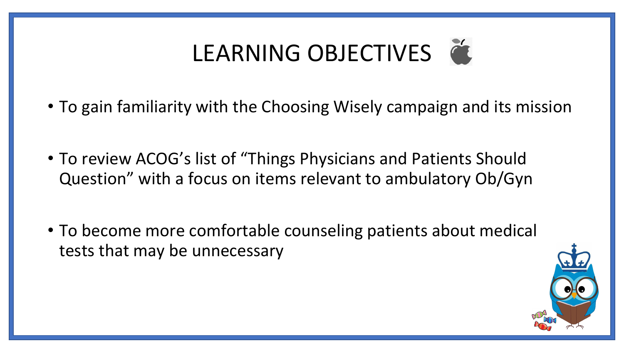# LEARNING OBJECTIVES

- To gain familiarity with the Choosing Wisely campaign and its mission
- To review ACOG's list of "Things Physicians and Patients Should Question" with a focus on items relevant to ambulatory Ob/Gyn
- To become more comfortable counseling patients about medical tests that may be unnecessary

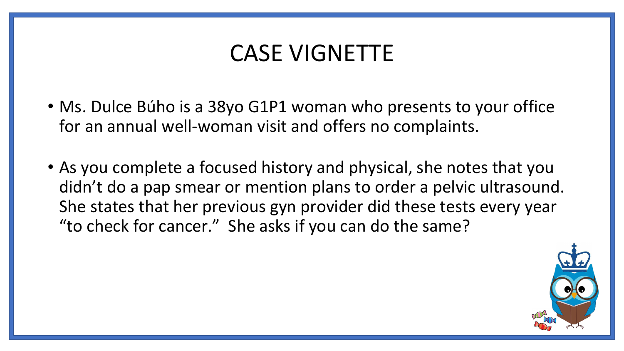#### CASE VIGNETTE

- Ms. Dulce Búho is a 38yo G1P1 woman who presents to your office for an annual well-woman visit and offers no complaints.
- As you complete a focused history and physical, she notes that you didn't do a pap smear or mention plans to order a pelvic ultrasound. She states that her previous gyn provider did these tests every year "to check for cancer." She asks if you can do the same?

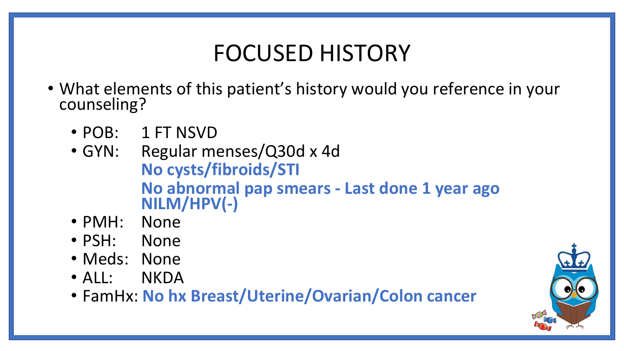#### FOCUSED HISTORY

- What elements of this patient's history would you reference in your counseling?
	- POB: 1 FT NSVD
	- GYN: Regular menses/Q30d x 4d **No cysts/fibroids/STI No abnormal pap smears - Last done 1 year ago NILM/HPV(-)**
	- PMH: None
	- PSH: None
	- Meds: None
	- ALL: NKDA
	- FamHx: **No hx Breast/Uterine/Ovarian/Colon cancer**

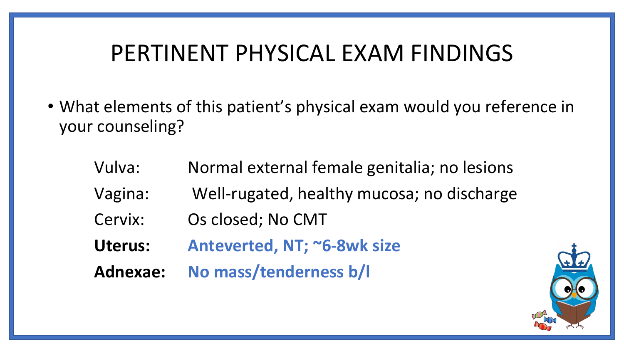#### PERTINENT PHYSICAL EXAM FINDINGS

- What elements of this patient's physical exam would you reference in your counseling?
	- Vulva: Normal external female genitalia; no lesions Vagina: Well-rugated, healthy mucosa; no discharge Cervix: Os closed; No CMT **Uterus: Anteverted, NT; ~6-8wk size Adnexae: No mass/tenderness b/l**

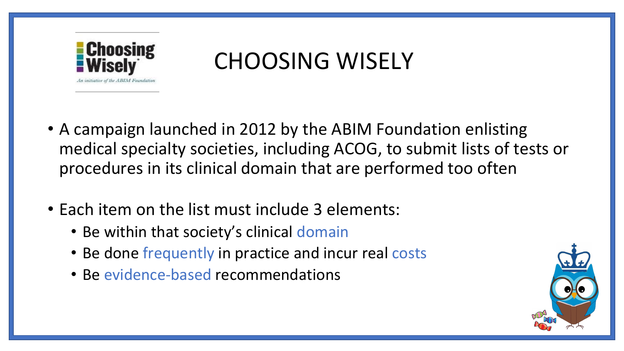

## CHOOSING WISELY

- A campaign launched in 2012 by the ABIM Foundation enlisting medical specialty societies, including ACOG, to submit lists of tests or procedures in its clinical domain that are performed too often
- Each item on the list must include 3 elements:
	- Be within that society's clinical domain
	- Be done frequently in practice and incur real costs
	- Be evidence-based recommendations

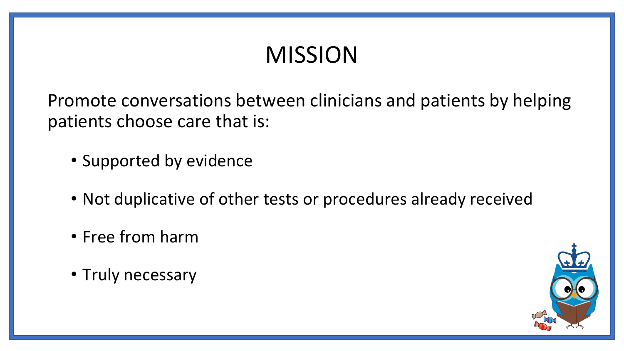## MISSION

Promote conversations between clinicians and patients by helping patients choose care that is:

- Supported by evidence
- Not duplicative of other tests or procedures already received
- Free from harm
- Truly necessary

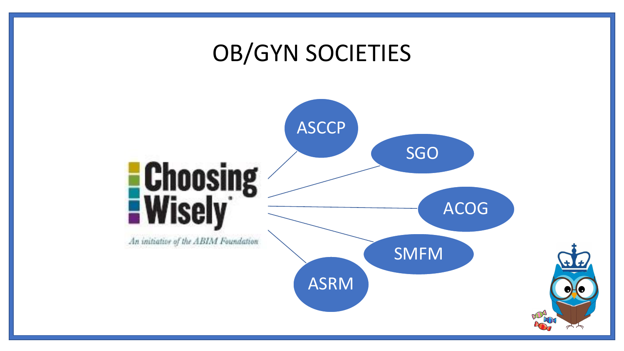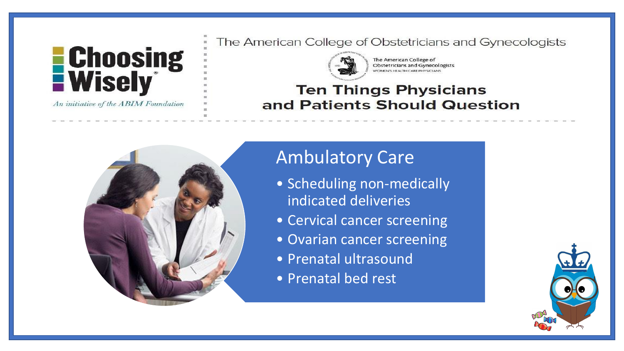

An initiative of the ABIM Foundation

The American College of Obstetricians and Gynecologists



The American College of Obstetricians and Gynecologists VOMEN'S HEALTH CARE PHYSICIANS

#### **Ten Things Physicians** and Patients Should Question



#### Ambulatory Care

- Scheduling non-medically indicated deliveries
- Cervical cancer screening
- Ovarian cancer screening
- Prenatal ultrasound
- Prenatal bed rest

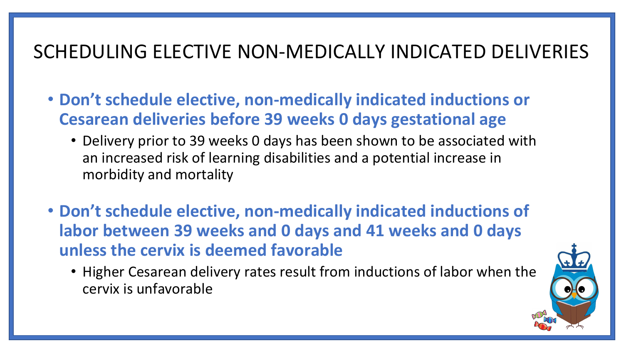#### SCHEDULING ELECTIVE NON-MEDICALLY INDICATED DELIVERIES

- **Don't schedule elective, non-medically indicated inductions or Cesarean deliveries before 39 weeks 0 days gestational age**
	- Delivery prior to 39 weeks 0 days has been shown to be associated with an increased risk of learning disabilities and a potential increase in morbidity and mortality
- **Don't schedule elective, non-medically indicated inductions of labor between 39 weeks and 0 days and 41 weeks and 0 days unless the cervix is deemed favorable**
	- Higher Cesarean delivery rates result from inductions of labor when the cervix is unfavorable

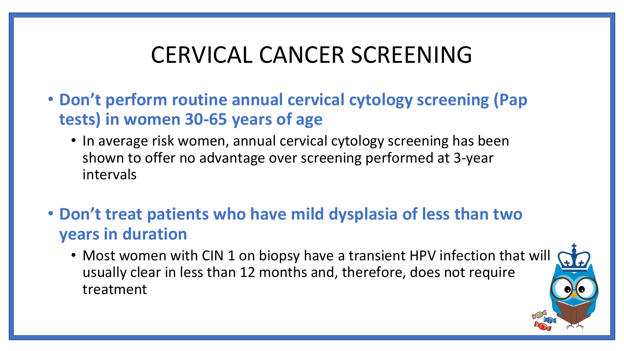### CERVICAL CANCER SCREENING

- **Don't perform routine annual cervical cytology screening (Pap tests) in women 30-65 years of age**
	- In average risk women, annual cervical cytology screening has been shown to offer no advantage over screening performed at 3-year intervals
- **Don't treat patients who have mild dysplasia of less than two years in duration**
	- Most women with CIN 1 on biopsy have a transient HPV infection that will usually clear in less than 12 months and, therefore, does not require treatment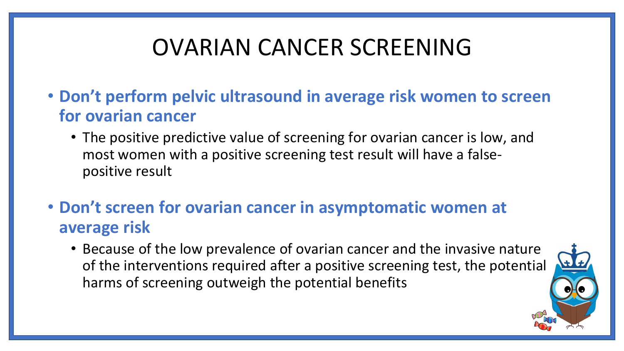### OVARIAN CANCER SCREENING

- **Don't perform pelvic ultrasound in average risk women to screen for ovarian cancer**
	- The positive predictive value of screening for ovarian cancer is low, and most women with a positive screening test result will have a falsepositive result
- **Don't screen for ovarian cancer in asymptomatic women at average risk**
	- Because of the low prevalence of ovarian cancer and the invasive nature of the interventions required after a positive screening test, the potential harms of screening outweigh the potential benefits

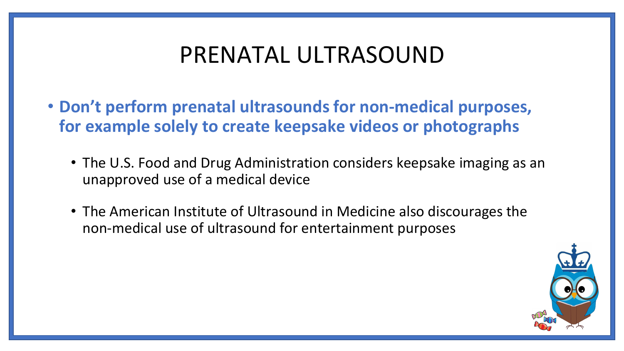#### PRENATAL ULTRASOUND

- **Don't perform prenatal ultrasounds for non-medical purposes, for example solely to create keepsake videos or photographs**
	- The U.S. Food and Drug Administration considers keepsake imaging as an unapproved use of a medical device
	- The American Institute of Ultrasound in Medicine also discourages the non-medical use of ultrasound for entertainment purposes

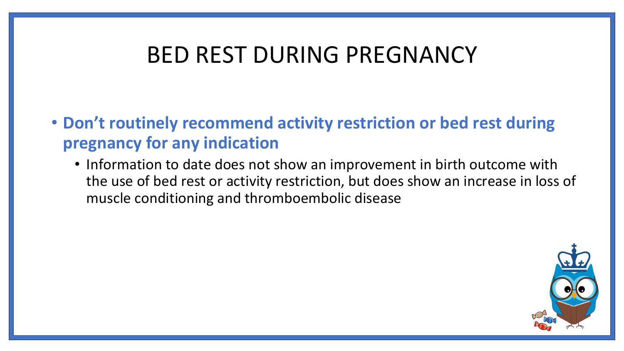#### BED REST DURING PREGNANCY

• **Don't routinely recommend activity restriction or bed rest during pregnancy for any indication**

• Information to date does not show an improvement in birth outcome with the use of bed rest or activity restriction, but does show an increase in loss of muscle conditioning and thromboembolic disease

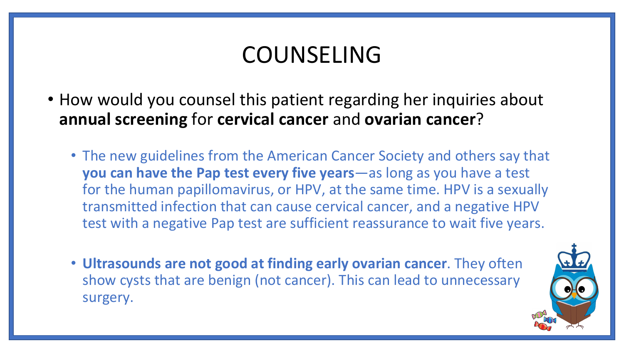### COUNSELING

- How would you counsel this patient regarding her inquiries about **annual screening** for **cervical cancer** and **ovarian cancer**?
	- The new guidelines from the American Cancer Society and others say that **you can have the Pap test every five years**—as long as you have a test for the human papillomavirus, or HPV, at the same time. HPV is a sexually transmitted infection that can cause cervical cancer, and a negative HPV test with a negative Pap test are sufficient reassurance to wait five years.
	- **Ultrasounds are not good at finding early ovarian cancer**. They often show cysts that are benign (not cancer). This can lead to unnecessary surgery.

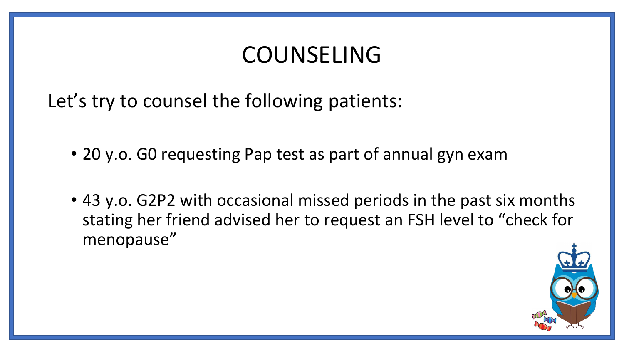#### COUNSELING

Let's try to counsel the following patients:

- 20 y.o. G0 requesting Pap test as part of annual gyn exam
- 43 y.o. G2P2 with occasional missed periods in the past six months stating her friend advised her to request an FSH level to "check for menopause"

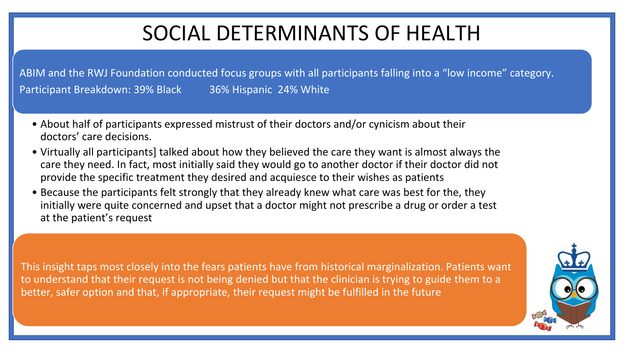#### SOCIAL DETERMINANTS OF HEALTH

ABIM and the RWJ Foundation conducted focus groups with all participants falling into a "low income" category. Participant Breakdown: 39% Black 36% Hispanic 24% White

- About half of participants expressed mistrust of their doctors and/or cynicism about their doctors' care decisions.
- Virtually all participants] talked about how they believed the care they want is almost always the care they need. In fact, most initially said they would go to another doctor if their doctor did not provide the specific treatment they desired and acquiesce to their wishes as patients
- Because the participants felt strongly that they already knew what care was best for the, they initially were quite concerned and upset that a doctor might not prescribe a drug or order a test at the patient's request

This insight taps most closely into the fears patients have from historical marginalization. Patients want to understand that their request is not being denied but that the clinician is trying to guide them to a better, safer option and that, if appropriate, their request might be fulfilled in the future

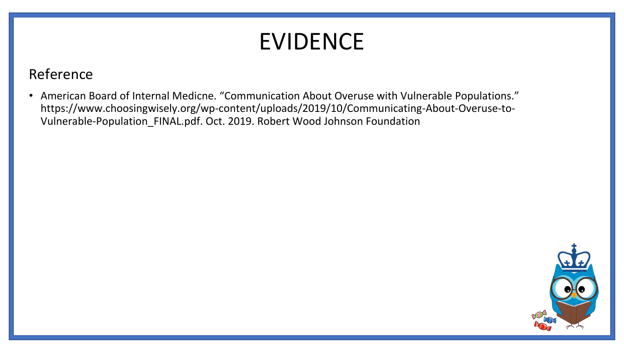### EVIDENCE

#### Reference

• American Board of Internal Medicne. "Communication About Overuse with Vulnerable Populations." https://www.choosingwisely.org/wp-content/uploads/2019/10/Communicating-About-Overuse-to-Vulnerable-Population\_FINAL.pdf. Oct. 2019. Robert Wood Johnson Foundation

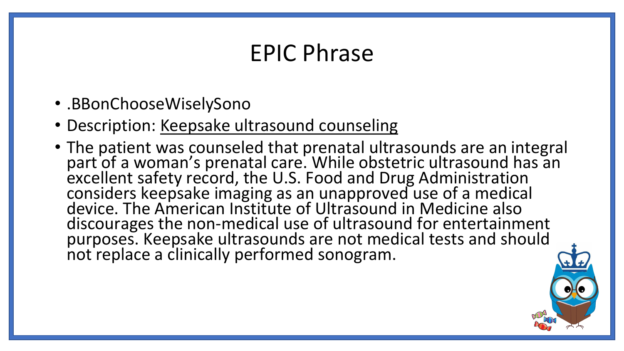#### EPIC Phrase

- .BBonChooseWiselySono
- Description: Keepsake ultrasound counseling
- The patient was counseled that prenatal ultrasounds are an integral part of a woman's prenatal care. While obstetric ultrasound has an excellent safety record, the U.S. Food and Drug Administration considers keepsake imaging as an unapproved use of a medical device. The American Institute of Ultrasound in Medicine also discourages the non-medical use of ultrasound for entertainment purposes. Keepsake ultrasounds are not medical tests and should not replace a clinically performed sonogram.